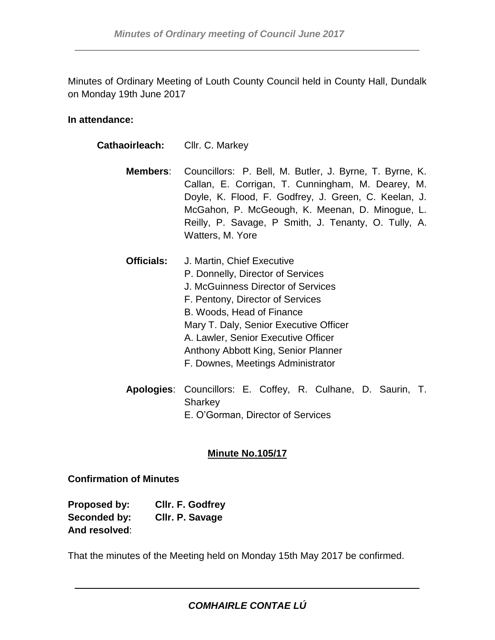Minutes of Ordinary Meeting of Louth County Council held in County Hall, Dundalk on Monday 19th June 2017

#### **In attendance:**

| Cathaoirleach:    | Cllr. C. Markey                                                                                                                                                                                                                                                                                                                     |
|-------------------|-------------------------------------------------------------------------------------------------------------------------------------------------------------------------------------------------------------------------------------------------------------------------------------------------------------------------------------|
| Members:          | Councillors: P. Bell, M. Butler, J. Byrne, T. Byrne, K.<br>Callan, E. Corrigan, T. Cunningham, M. Dearey, M.<br>Doyle, K. Flood, F. Godfrey, J. Green, C. Keelan, J.<br>McGahon, P. McGeough, K. Meenan, D. Minogue, L.<br>Reilly, P. Savage, P Smith, J. Tenanty, O. Tully, A.<br>Watters, M. Yore                                 |
| <b>Officials:</b> | J. Martin, Chief Executive<br>P. Donnelly, Director of Services<br>J. McGuinness Director of Services<br>F. Pentony, Director of Services<br>B. Woods, Head of Finance<br>Mary T. Daly, Senior Executive Officer<br>A. Lawler, Senior Executive Officer<br>Anthony Abbott King, Senior Planner<br>F. Downes, Meetings Administrator |
|                   | Apologies: Councillors: E. Coffey, R. Culhane, D. Saurin, T.                                                                                                                                                                                                                                                                        |

**Apologies**: Councillors: E. Coffey, R. Culhane, D. Saurin, T. **Sharkey** E. O'Gorman, Director of Services

## **Minute No.105/17**

**Confirmation of Minutes**

| Proposed by:  | Cllr. F. Godfrey |
|---------------|------------------|
| Seconded by:  | Cllr. P. Savage  |
| And resolved: |                  |

That the minutes of the Meeting held on Monday 15th May 2017 be confirmed.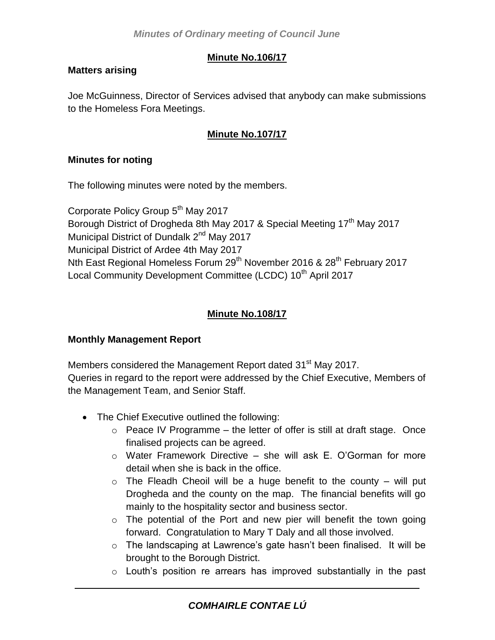# **Minute No.106/17**

## **Matters arising**

Joe McGuinness, Director of Services advised that anybody can make submissions to the Homeless Fora Meetings.

## **Minute No.107/17**

## **Minutes for noting**

The following minutes were noted by the members.

Corporate Policy Group 5<sup>th</sup> May 2017 Borough District of Drogheda 8th May 2017 & Special Meeting 17<sup>th</sup> May 2017 Municipal District of Dundalk 2<sup>nd</sup> May 2017 Municipal District of Ardee 4th May 2017 Nth East Regional Homeless Forum 29<sup>th</sup> November 2016 & 28<sup>th</sup> February 2017 Local Community Development Committee (LCDC) 10<sup>th</sup> April 2017

# **Minute No.108/17**

## **Monthly Management Report**

Members considered the Management Report dated 31<sup>st</sup> May 2017. Queries in regard to the report were addressed by the Chief Executive, Members of the Management Team, and Senior Staff.

- The Chief Executive outlined the following:
	- $\circ$  Peace IV Programme the letter of offer is still at draft stage. Once finalised projects can be agreed.
	- $\circ$  Water Framework Directive she will ask E. O'Gorman for more detail when she is back in the office.
	- $\circ$  The Fleadh Cheoil will be a huge benefit to the county will put Drogheda and the county on the map. The financial benefits will go mainly to the hospitality sector and business sector.
	- $\circ$  The potential of the Port and new pier will benefit the town going forward. Congratulation to Mary T Daly and all those involved.
	- o The landscaping at Lawrence's gate hasn't been finalised. It will be brought to the Borough District.
	- o Louth's position re arrears has improved substantially in the past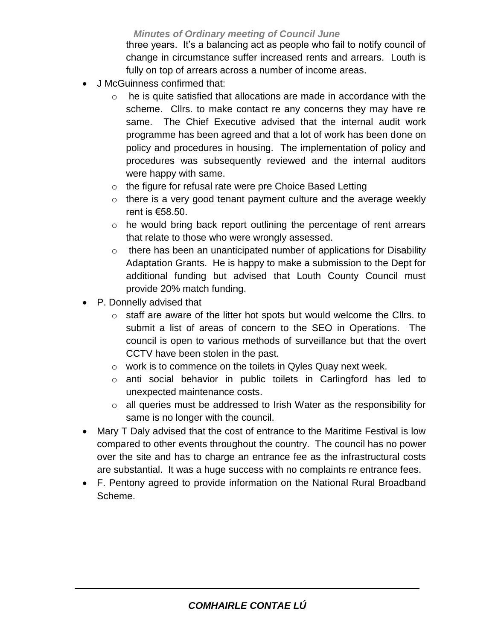*Minutes of Ordinary meeting of Council June* 

three years. It's a balancing act as people who fail to notify council of change in circumstance suffer increased rents and arrears. Louth is fully on top of arrears across a number of income areas.

- J McGuinness confirmed that:
	- $\circ$  he is quite satisfied that allocations are made in accordance with the scheme. Cllrs. to make contact re any concerns they may have re same. The Chief Executive advised that the internal audit work programme has been agreed and that a lot of work has been done on policy and procedures in housing. The implementation of policy and procedures was subsequently reviewed and the internal auditors were happy with same.
	- o the figure for refusal rate were pre Choice Based Letting
	- $\circ$  there is a very good tenant payment culture and the average weekly rent is €58.50.
	- $\circ$  he would bring back report outlining the percentage of rent arrears that relate to those who were wrongly assessed.
	- $\circ$  there has been an unanticipated number of applications for Disability Adaptation Grants. He is happy to make a submission to the Dept for additional funding but advised that Louth County Council must provide 20% match funding.
- P. Donnelly advised that
	- o staff are aware of the litter hot spots but would welcome the Cllrs. to submit a list of areas of concern to the SEO in Operations. The council is open to various methods of surveillance but that the overt CCTV have been stolen in the past.
	- o work is to commence on the toilets in Qyles Quay next week.
	- o anti social behavior in public toilets in Carlingford has led to unexpected maintenance costs.
	- o all queries must be addressed to Irish Water as the responsibility for same is no longer with the council.
- Mary T Daly advised that the cost of entrance to the Maritime Festival is low compared to other events throughout the country. The council has no power over the site and has to charge an entrance fee as the infrastructural costs are substantial. It was a huge success with no complaints re entrance fees.
- F. Pentony agreed to provide information on the National Rural Broadband Scheme.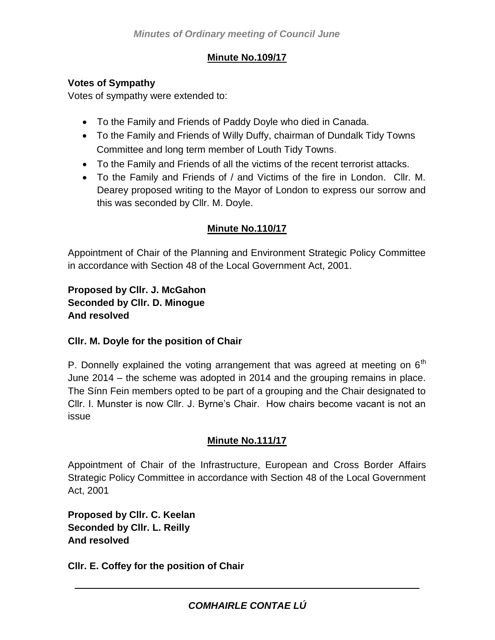# **Minute No.109/17**

## **Votes of Sympathy**

Votes of sympathy were extended to:

- To the Family and Friends of Paddy Doyle who died in Canada.
- To the Family and Friends of Willy Duffy, chairman of Dundalk Tidy Towns Committee and long term member of Louth Tidy Towns.
- To the Family and Friends of all the victims of the recent terrorist attacks.
- To the Family and Friends of / and Victims of the fire in London. Cllr. M. Dearey proposed writing to the Mayor of London to express our sorrow and this was seconded by Cllr. M. Doyle.

# **Minute No.110/17**

Appointment of Chair of the Planning and Environment Strategic Policy Committee in accordance with Section 48 of the Local Government Act, 2001.

**Proposed by Cllr. J. McGahon Seconded by Cllr. D. Minogue And resolved**

# **Cllr. M. Doyle for the position of Chair**

P. Donnelly explained the voting arrangement that was agreed at meeting on  $6<sup>th</sup>$ June 2014 – the scheme was adopted in 2014 and the grouping remains in place. The Sínn Fein members opted to be part of a grouping and the Chair designated to Cllr. I. Munster is now Cllr. J. Byrne's Chair. How chairs become vacant is not an issue

# **Minute No.111/17**

Appointment of Chair of the Infrastructure, European and Cross Border Affairs Strategic Policy Committee in accordance with Section 48 of the Local Government Act, 2001

**Proposed by Cllr. C. Keelan Seconded by Cllr. L. Reilly And resolved**

**Cllr. E. Coffey for the position of Chair**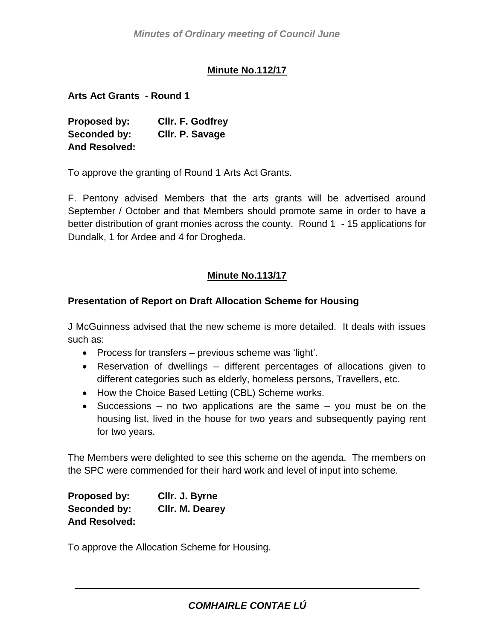## **Minute No.112/17**

**Arts Act Grants - Round 1**

**Proposed by: Cllr. F. Godfrey Seconded by: Cllr. P. Savage And Resolved:**

To approve the granting of Round 1 Arts Act Grants.

F. Pentony advised Members that the arts grants will be advertised around September / October and that Members should promote same in order to have a better distribution of grant monies across the county. Round 1 - 15 applications for Dundalk, 1 for Ardee and 4 for Drogheda.

## **Minute No.113/17**

### **Presentation of Report on Draft Allocation Scheme for Housing**

J McGuinness advised that the new scheme is more detailed. It deals with issues such as:

- Process for transfers previous scheme was 'light'.
- Reservation of dwellings different percentages of allocations given to different categories such as elderly, homeless persons, Travellers, etc.
- How the Choice Based Letting (CBL) Scheme works.
- Successions no two applications are the same  $-$  you must be on the housing list, lived in the house for two years and subsequently paying rent for two years.

The Members were delighted to see this scheme on the agenda. The members on the SPC were commended for their hard work and level of input into scheme.

| Proposed by:         | CIIr. J. Byrne  |
|----------------------|-----------------|
| Seconded by:         | Cllr. M. Dearey |
| <b>And Resolved:</b> |                 |

To approve the Allocation Scheme for Housing.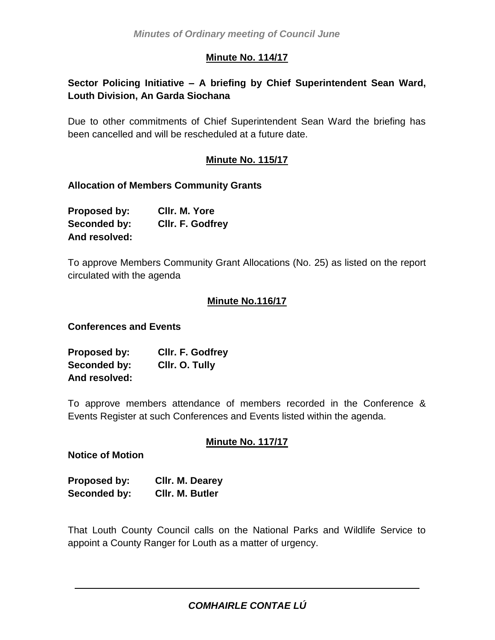### **Minute No. 114/17**

# **Sector Policing Initiative – A briefing by Chief Superintendent Sean Ward, Louth Division, An Garda Siochana**

Due to other commitments of Chief Superintendent Sean Ward the briefing has been cancelled and will be rescheduled at a future date.

### **Minute No. 115/17**

#### **Allocation of Members Community Grants**

| Proposed by:  | CIIr. M. Yore    |
|---------------|------------------|
| Seconded by:  | Cllr. F. Godfrey |
| And resolved: |                  |

To approve Members Community Grant Allocations (No. 25) as listed on the report circulated with the agenda

#### **Minute No.116/17**

#### **Conferences and Events**

| Proposed by:  | <b>CIIr. F. Godfrey</b> |
|---------------|-------------------------|
| Seconded by:  | Cllr. O. Tully          |
| And resolved: |                         |

To approve members attendance of members recorded in the Conference & Events Register at such Conferences and Events listed within the agenda.

#### **Minute No. 117/17**

#### **Notice of Motion**

| Proposed by: | Cllr. M. Dearey |
|--------------|-----------------|
| Seconded by: | CIIr. M. Butler |

That Louth County Council calls on the National Parks and Wildlife Service to appoint a County Ranger for Louth as a matter of urgency.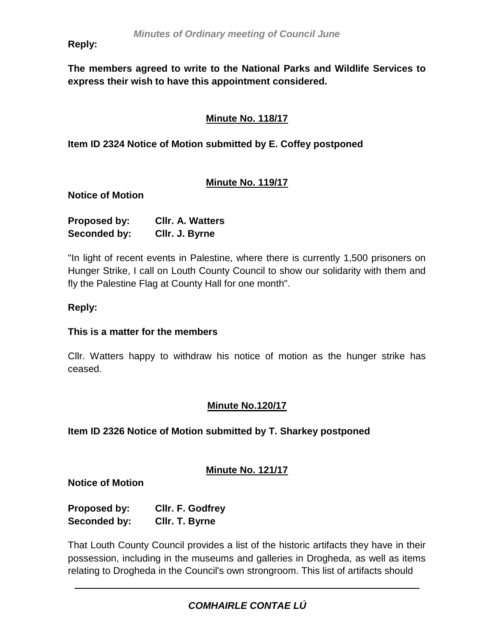**Reply:** *2016*

**The members agreed to write to the National Parks and Wildlife Services to express their wish to have this appointment considered.**

# **Minute No. 118/17**

**Item ID 2324 Notice of Motion submitted by E. Coffey postponed**

## **Minute No. 119/17**

**Notice of Motion**

| Proposed by: | <b>CIIr. A. Watters</b> |
|--------------|-------------------------|
| Seconded by: | Cllr. J. Byrne          |

"In light of recent events in Palestine, where there is currently 1,500 prisoners on Hunger Strike, I call on Louth County Council to show our solidarity with them and fly the Palestine Flag at County Hall for one month".

### **Reply:**

#### **This is a matter for the members**

Cllr. Watters happy to withdraw his notice of motion as the hunger strike has ceased.

## **Minute No.120/17**

**Item ID 2326 Notice of Motion submitted by T. Sharkey postponed**

## **Minute No. 121/17**

**Notice of Motion**

**Proposed by: Cllr. F. Godfrey Seconded by: Cllr. T. Byrne**

That Louth County Council provides a list of the historic artifacts they have in their possession, including in the museums and galleries in Drogheda, as well as items relating to Drogheda in the Council's own strongroom. This list of artifacts should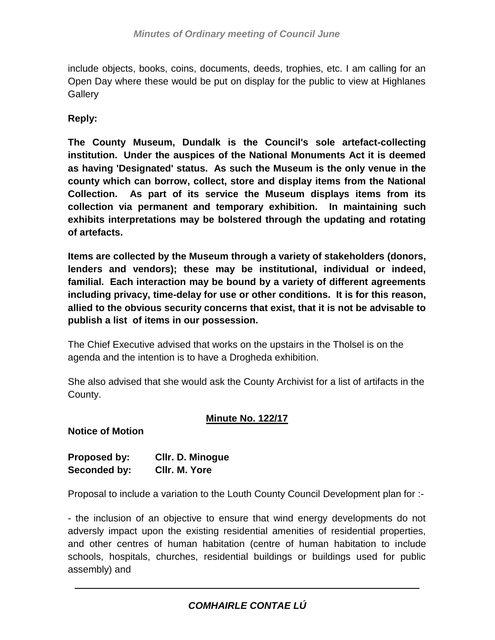include objects, books, coins, documents, deeds, trophies, etc. I am calling for an Open Day where these would be put on display for the public to view at Highlanes **Gallerv** 

## **Reply:**

**The County Museum, Dundalk is the Council's sole artefact-collecting institution. Under the auspices of the National Monuments Act it is deemed as having 'Designated' status. As such the Museum is the only venue in the county which can borrow, collect, store and display items from the National Collection. As part of its service the Museum displays items from its collection via permanent and temporary exhibition. In maintaining such exhibits interpretations may be bolstered through the updating and rotating of artefacts.**

**Items are collected by the Museum through a variety of stakeholders (donors, lenders and vendors); these may be institutional, individual or indeed, familial. Each interaction may be bound by a variety of different agreements including privacy, time-delay for use or other conditions. It is for this reason, allied to the obvious security concerns that exist, that it is not be advisable to publish a list of items in our possession.**

The Chief Executive advised that works on the upstairs in the Tholsel is on the agenda and the intention is to have a Drogheda exhibition.

She also advised that she would ask the County Archivist for a list of artifacts in the County.

## **Minute No. 122/17**

**Notice of Motion**

| <b>Proposed by:</b> | <b>CIIr. D. Minogue</b> |
|---------------------|-------------------------|
| Seconded by:        | CIIr. M. Yore           |

Proposal to include a variation to the Louth County Council Development plan for :-

- the inclusion of an objective to ensure that wind energy developments do not adversly impact upon the existing residential amenities of residential properties, and other centres of human habitation (centre of human habitation to include schools, hospitals, churches, residential buildings or buildings used for public assembly) and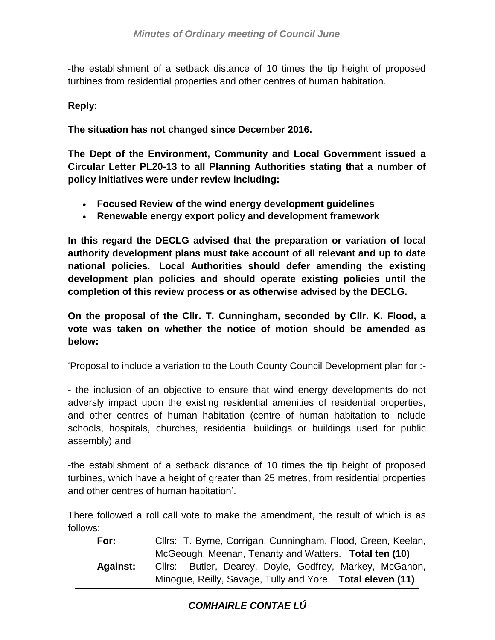-the establishment of a setback distance of 10 times the tip height of proposed turbines from residential properties and other centres of human habitation.

## **Reply:**

**The situation has not changed since December 2016.**

**The Dept of the Environment, Community and Local Government issued a Circular Letter PL20-13 to all Planning Authorities stating that a number of policy initiatives were under review including:**

- **Focused Review of the wind energy development guidelines**
- **Renewable energy export policy and development framework**

**In this regard the DECLG advised that the preparation or variation of local authority development plans must take account of all relevant and up to date national policies. Local Authorities should defer amending the existing development plan policies and should operate existing policies until the completion of this review process or as otherwise advised by the DECLG.**

**On the proposal of the Cllr. T. Cunningham, seconded by Cllr. K. Flood, a vote was taken on whether the notice of motion should be amended as below:**

'Proposal to include a variation to the Louth County Council Development plan for :-

- the inclusion of an objective to ensure that wind energy developments do not adversly impact upon the existing residential amenities of residential properties, and other centres of human habitation (centre of human habitation to include schools, hospitals, churches, residential buildings or buildings used for public assembly) and

-the establishment of a setback distance of 10 times the tip height of proposed turbines, which have a height of greater than 25 metres, from residential properties and other centres of human habitation'.

There followed a roll call vote to make the amendment, the result of which is as follows:

**For:** Cllrs: T. Byrne, Corrigan, Cunningham, Flood, Green, Keelan, McGeough, Meenan, Tenanty and Watters. **Total ten (10) Against:** Cllrs: Butler, Dearey, Doyle, Godfrey, Markey, McGahon, Minogue, Reilly, Savage, Tully and Yore. **Total eleven (11)**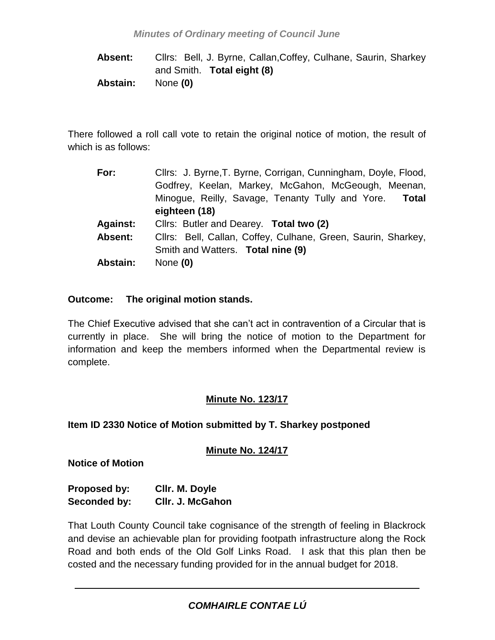**Absent:** Cllrs: Bell, J. Byrne, Callan,Coffey, Culhane, Saurin, Sharkey and Smith. **Total eight (8) Abstain:** None **(0)**

There followed a roll call vote to retain the original notice of motion, the result of which is as follows:

| For:            | Cllrs: J. Byrne, T. Byrne, Corrigan, Cunningham, Doyle, Flood, |  |
|-----------------|----------------------------------------------------------------|--|
|                 | Godfrey, Keelan, Markey, McGahon, McGeough, Meenan,            |  |
|                 | Minogue, Reilly, Savage, Tenanty Tully and Yore. Total         |  |
|                 | eighteen (18)                                                  |  |
| <b>Against:</b> | Cllrs: Butler and Dearey. Total two (2)                        |  |
| Absent:         | Cllrs: Bell, Callan, Coffey, Culhane, Green, Saurin, Sharkey,  |  |
|                 | Smith and Watters. Total nine (9)                              |  |
| <b>Abstain:</b> | None $(0)$                                                     |  |

### **Outcome: The original motion stands.**

The Chief Executive advised that she can't act in contravention of a Circular that is currently in place. She will bring the notice of motion to the Department for information and keep the members informed when the Departmental review is complete.

## **Minute No. 123/17**

## **Item ID 2330 Notice of Motion submitted by T. Sharkey postponed**

## **Minute No. 124/17**

**Notice of Motion**

| Proposed by: | Cllr. M. Doyle   |
|--------------|------------------|
| Seconded by: | CIIr. J. McGahon |

That Louth County Council take cognisance of the strength of feeling in Blackrock and devise an achievable plan for providing footpath infrastructure along the Rock Road and both ends of the Old Golf Links Road. I ask that this plan then be costed and the necessary funding provided for in the annual budget for 2018.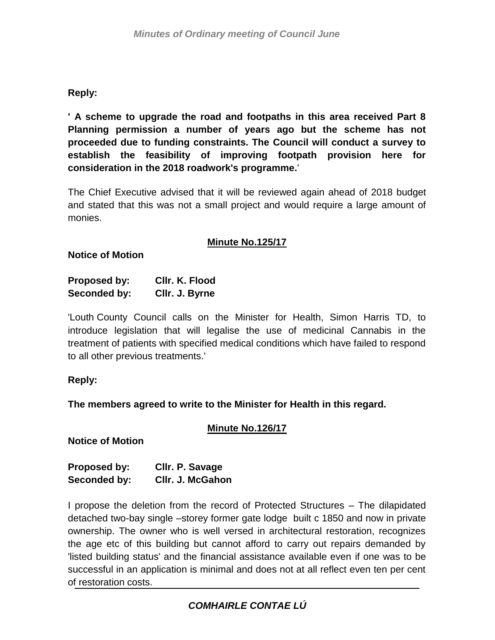# **Reply:**

**' A scheme to upgrade the road and footpaths in this area received Part 8 Planning permission a number of years ago but the scheme has not proceeded due to funding constraints. The Council will conduct a survey to establish the feasibility of improving footpath provision here for consideration in the 2018 roadwork's programme.**'

The Chief Executive advised that it will be reviewed again ahead of 2018 budget and stated that this was not a small project and would require a large amount of monies.

### **Minute No.125/17**

#### **Notice of Motion**

| Proposed by: | Cllr. K. Flood |
|--------------|----------------|
| Seconded by: | CIIr. J. Byrne |

'Louth County Council calls on the Minister for Health, Simon Harris TD, to introduce legislation that will legalise the use of medicinal Cannabis in the treatment of patients with specified medical conditions which have failed to respond to all other previous treatments.'

#### **Reply:**

**The members agreed to write to the Minister for Health in this regard.**

## **Minute No.126/17**

**Notice of Motion**

| <b>Proposed by:</b> | Cllr. P. Savage         |
|---------------------|-------------------------|
| Seconded by:        | <b>CIIr. J. McGahon</b> |

I propose the deletion from the record of Protected Structures – The dilapidated detached two-bay single –storey former gate lodge built c 1850 and now in private ownership. The owner who is well versed in architectural restoration, recognizes the age etc of this building but cannot afford to carry out repairs demanded by 'listed building status' and the financial assistance available even if one was to be successful in an application is minimal and does not at all reflect even ten per cent of restoration costs.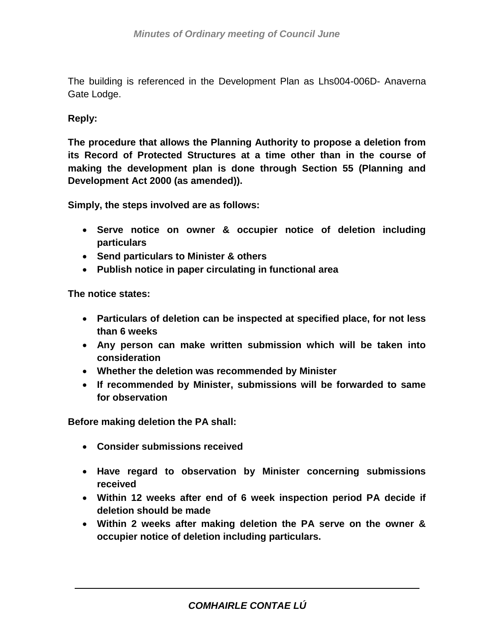The building is referenced in the Development Plan as Lhs004-006D- Anaverna Gate Lodge.

### **Reply:**

**The procedure that allows the Planning Authority to propose a deletion from its Record of Protected Structures at a time other than in the course of making the development plan is done through Section 55 (Planning and Development Act 2000 (as amended)).** 

**Simply, the steps involved are as follows:**

- **Serve notice on owner & occupier notice of deletion including particulars**
- **Send particulars to Minister & others**
- **Publish notice in paper circulating in functional area**

**The notice states:**

- **Particulars of deletion can be inspected at specified place, for not less than 6 weeks**
- **Any person can make written submission which will be taken into consideration**
- **Whether the deletion was recommended by Minister**
- **If recommended by Minister, submissions will be forwarded to same for observation**

**Before making deletion the PA shall:**

- **Consider submissions received**
- **Have regard to observation by Minister concerning submissions received**
- **Within 12 weeks after end of 6 week inspection period PA decide if deletion should be made**
- **Within 2 weeks after making deletion the PA serve on the owner & occupier notice of deletion including particulars.**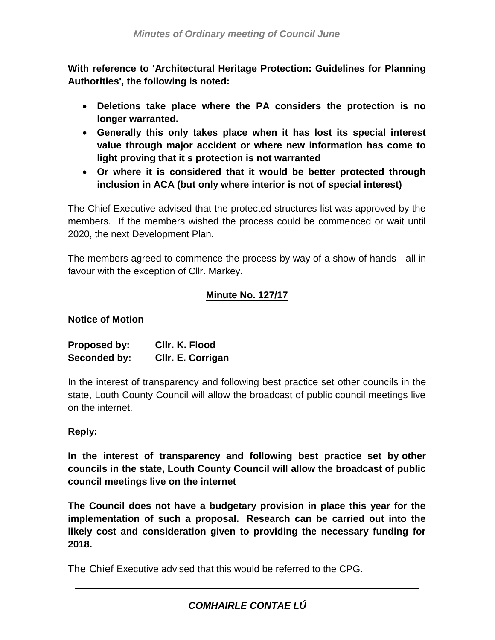**With reference to 'Architectural Heritage Protection: Guidelines for Planning Authorities', the following is noted:**

- **Deletions take place where the PA considers the protection is no longer warranted.**
- **Generally this only takes place when it has lost its special interest value through major accident or where new information has come to light proving that it s protection is not warranted**
- **Or where it is considered that it would be better protected through inclusion in ACA (but only where interior is not of special interest)**

The Chief Executive advised that the protected structures list was approved by the members. If the members wished the process could be commenced or wait until 2020, the next Development Plan.

The members agreed to commence the process by way of a show of hands - all in favour with the exception of Cllr. Markey.

## **Minute No. 127/17**

## **Notice of Motion**

| <b>Proposed by:</b> | CIIr. K. Flood    |
|---------------------|-------------------|
| Seconded by:        | Cllr. E. Corrigan |

In the interest of transparency and following best practice set other councils in the state, Louth County Council will allow the broadcast of public council meetings live on the internet.

## **Reply:**

**In the interest of transparency and following best practice set by other councils in the state, Louth County Council will allow the broadcast of public council meetings live on the internet**

**The Council does not have a budgetary provision in place this year for the implementation of such a proposal. Research can be carried out into the likely cost and consideration given to providing the necessary funding for 2018.**

The Chief Executive advised that this would be referred to the CPG.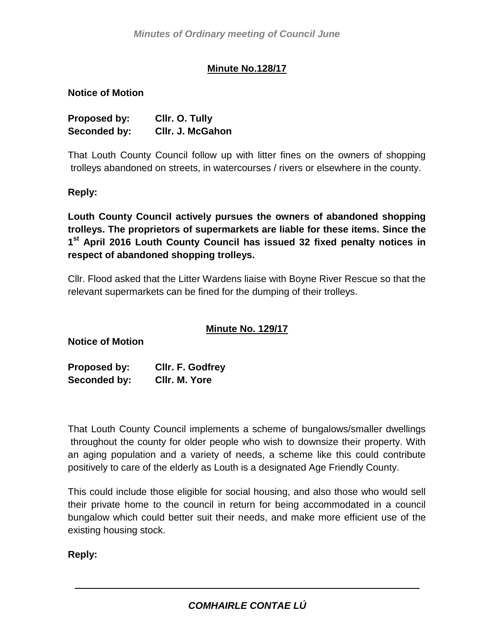# **Minute No.128/17**

### **Notice of Motion**

| <b>Proposed by:</b> | Cllr. O. Tully          |
|---------------------|-------------------------|
| Seconded by:        | <b>CIIr. J. McGahon</b> |

That Louth County Council follow up with litter fines on the owners of shopping trolleys abandoned on streets, in watercourses / rivers or elsewhere in the county.

#### **Reply:**

**Louth County Council actively pursues the owners of abandoned shopping trolleys. The proprietors of supermarkets are liable for these items. Since the 1 st April 2016 Louth County Council has issued 32 fixed penalty notices in respect of abandoned shopping trolleys.**

Cllr. Flood asked that the Litter Wardens liaise with Boyne River Rescue so that the relevant supermarkets can be fined for the dumping of their trolleys.

## **Minute No. 129/17**

**Notice of Motion**

**Proposed by: Cllr. F. Godfrey Seconded by: Cllr. M. Yore**

That Louth County Council implements a scheme of bungalows/smaller dwellings throughout the county for older people who wish to downsize their property. With an aging population and a variety of needs, a scheme like this could contribute positively to care of the elderly as Louth is a designated Age Friendly County.

This could include those eligible for social housing, and also those who would sell their private home to the council in return for being accommodated in a council bungalow which could better suit their needs, and make more efficient use of the existing housing stock.

**Reply:**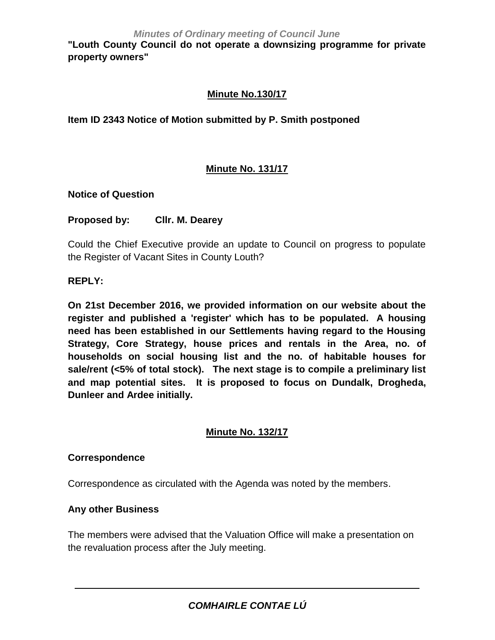"Louth County Council do not operate a downsizing programme for private **property owners"**

## **Minute No.130/17**

### **Item ID 2343 Notice of Motion submitted by P. Smith postponed**

## **Minute No. 131/17**

#### **Notice of Question**

#### **Proposed by: Cllr. M. Dearey**

Could the Chief Executive provide an update to Council on progress to populate the Register of Vacant Sites in County Louth?

#### **REPLY:**

**On 21st December 2016, we provided information on our website about the register and published a 'register' which has to be populated. A housing need has been established in our Settlements having regard to the Housing Strategy, Core Strategy, house prices and rentals in the Area, no. of households on social housing list and the no. of habitable houses for sale/rent (<5% of total stock). The next stage is to compile a preliminary list and map potential sites. It is proposed to focus on Dundalk, Drogheda, Dunleer and Ardee initially.** 

#### **Minute No. 132/17**

#### **Correspondence**

Correspondence as circulated with the Agenda was noted by the members.

#### **Any other Business**

The members were advised that the Valuation Office will make a presentation on the revaluation process after the July meeting.